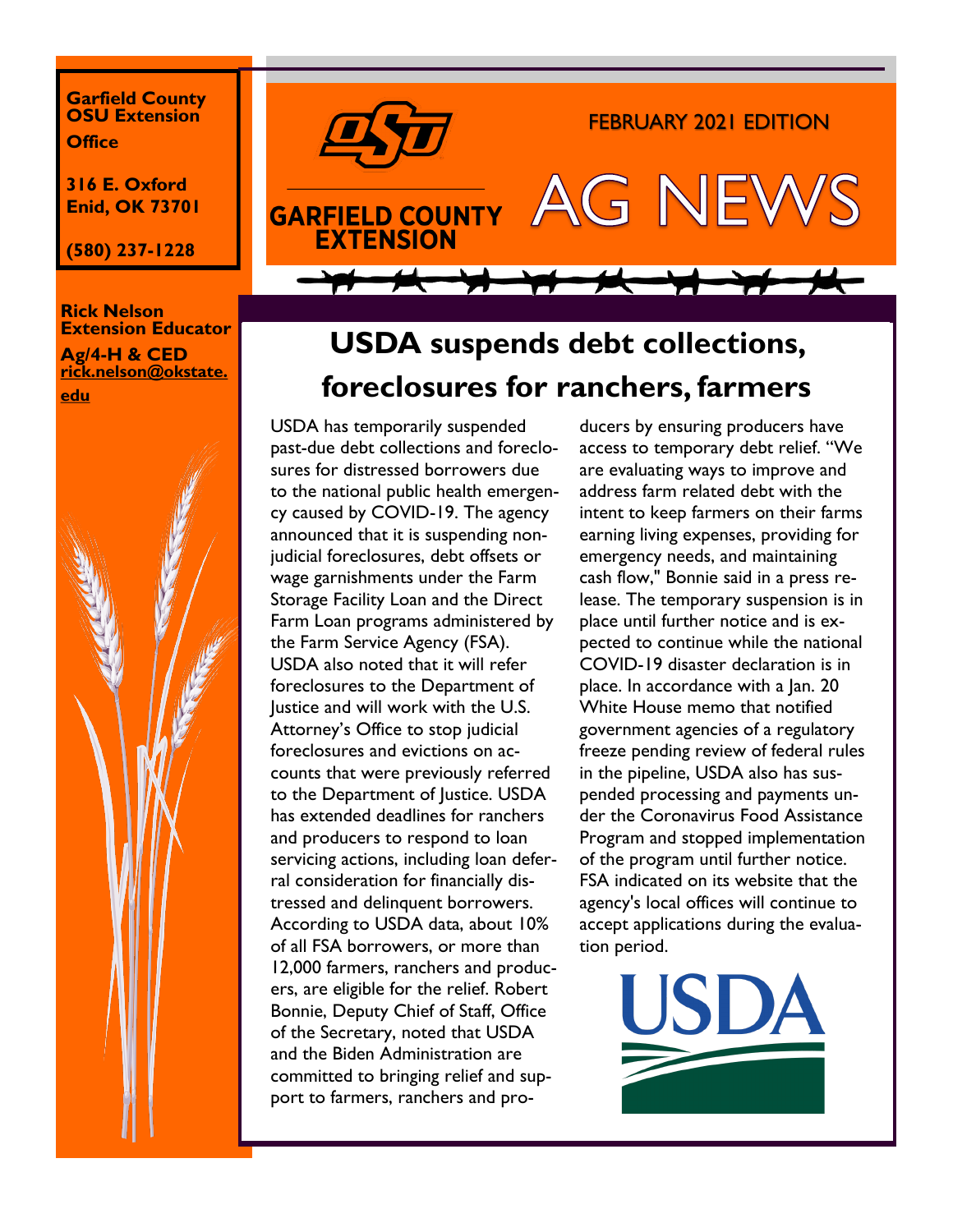**Garfield County OSU Extension Office**

**316 E. Oxford Enid, OK 73701**

**(580) 237-1228**

#### **Rick Nelson Extension Educator Ag/4-H & CED rick.nelson@okstate. edu**





# **USDA suspends debt collections, foreclosures for ranchers, farmers**

USDA has temporarily suspended past-due debt collections and foreclosures for distressed borrowers due to the national public health emergency caused by COVID-19. The agency announced that it is suspending nonjudicial foreclosures, debt offsets or wage garnishments under the Farm Storage Facility Loan and the Direct Farm Loan programs administered by the Farm Service Agency (FSA). USDA also noted that it will refer foreclosures to the Department of Justice and will work with the U.S. Attorney's Office to stop judicial foreclosures and evictions on accounts that were previously referred to the Department of Justice. USDA has extended deadlines for ranchers and producers to respond to loan servicing actions, including loan deferral consideration for financially distressed and delinquent borrowers. According to USDA data, about 10% of all FSA borrowers, or more than 12,000 farmers, ranchers and producers, are eligible for the relief. Robert Bonnie, Deputy Chief of Staff, Office of the Secretary, noted that USDA and the Biden Administration are committed to bringing relief and support to farmers, ranchers and pro-

ducers by ensuring producers have access to temporary debt relief. "We are evaluating ways to improve and address farm related debt with the intent to keep farmers on their farms earning living expenses, providing for emergency needs, and maintaining cash flow," Bonnie said in a press release. The temporary suspension is in place until further notice and is expected to continue while the national COVID-19 disaster declaration is in place. In accordance with a Jan. 20 White House memo that notified government agencies of a regulatory freeze pending review of federal rules in the pipeline, USDA also has suspended processing and payments under the Coronavirus Food Assistance Program and stopped implementation of the program until further notice. FSA indicated on its website that the agency's local offices will continue to accept applications during the evaluation period.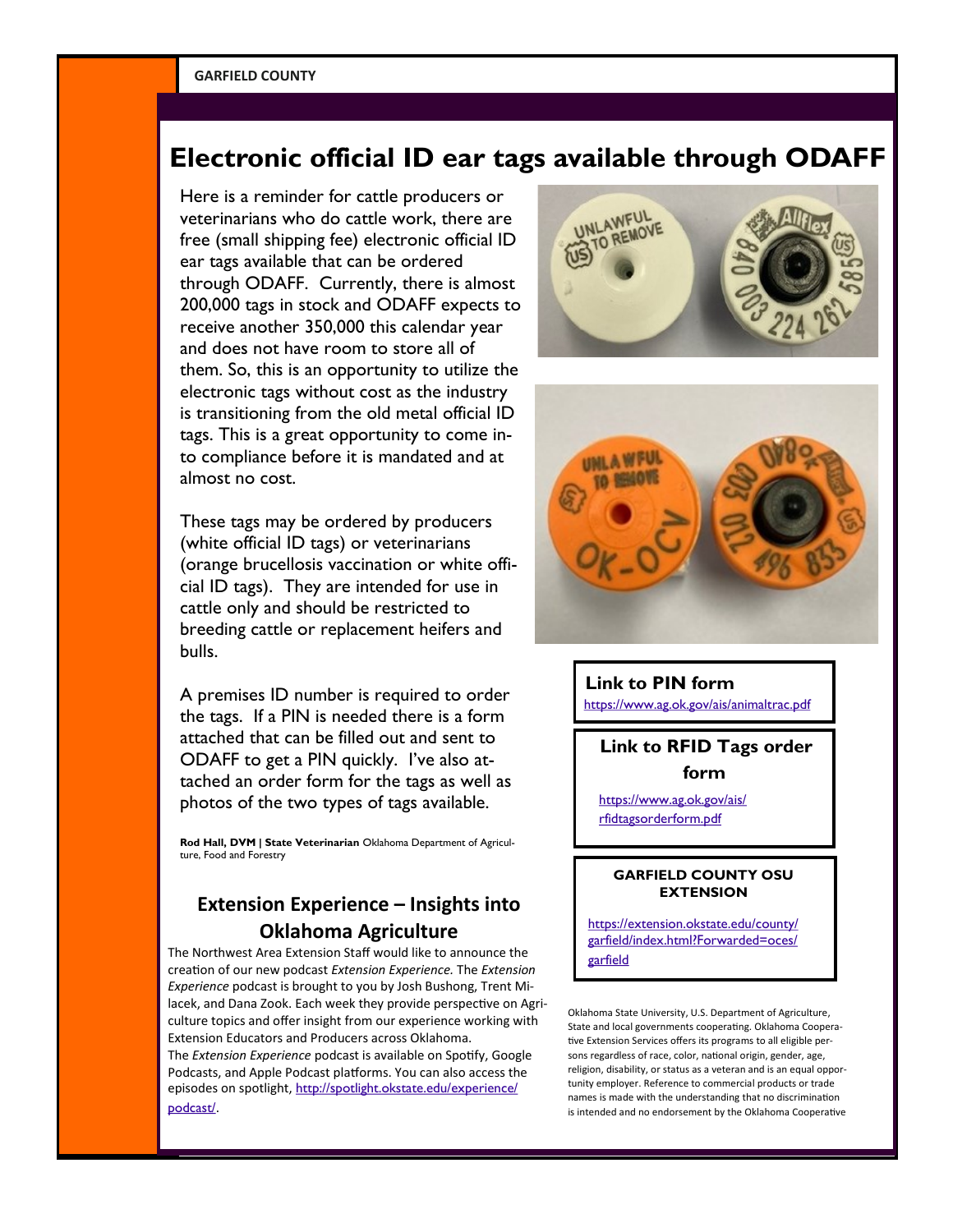# **Electronic official ID ear tags available through ODAFF**

Here is a reminder for cattle producers or veterinarians who do cattle work, there are free (small shipping fee) electronic official ID ear tags available that can be ordered through ODAFF. Currently, there is almost 200,000 tags in stock and ODAFF expects to receive another 350,000 this calendar year and does not have room to store all of them. So, this is an opportunity to utilize the electronic tags without cost as the industry is transitioning from the old metal official ID tags. This is a great opportunity to come into compliance before it is mandated and at almost no cost.

These tags may be ordered by producers (white official ID tags) or veterinarians (orange brucellosis vaccination or white official ID tags). They are intended for use in cattle only and should be restricted to breeding cattle or replacement heifers and bulls.

A premises ID number is required to order the tags. If a PIN is needed there is a form attached that can be filled out and sent to ODAFF to get a PIN quickly. I've also attached an order form for the tags as well as photos of the two types of tags available.

**Rod Hall, DVM | State Veterinarian** Oklahoma Department of Agriculture, Food and Forestry

## **Extension Experience – Insights into Oklahoma Agriculture**

The Northwest Area Extension Staff would like to announce the creation of our new podcast *Extension Experience.* The *Extension Experience* podcast is brought to you by Josh Bushong, Trent Milacek, and Dana Zook. Each week they provide perspective on Agriculture topics and offer insight from our experience working with Extension Educators and Producers across Oklahoma. The *Extension Experience* podcast is available on Spotify, Google Podcasts, and Apple Podcast platforms. You can also access the episodes on spotlight, [http://spotlight.okstate.edu/experience/](http://spotlight.okstate.edu/experience/podcast/) [podcast/](http://spotlight.okstate.edu/experience/podcast/).





#### **Link to PIN form**

<https://www.ag.ok.gov/ais/animaltrac.pdf>

### **Link to RFID Tags order form**

[https://www.ag.ok.gov/ais/](https://www.ag.ok.gov/ais/rfidtagsorderform.pdf) [rfidtagsorderform.pdf](https://www.ag.ok.gov/ais/rfidtagsorderform.pdf)

#### **GARFIELD COUNTY OSU EXTENSION**

[https://extension.okstate.edu/county/](https://extension.okstate.edu/county/garfield/index.html?Forwarded=oces/garfield) [garfield/index.html?Forwarded=oces/](https://extension.okstate.edu/county/garfield/index.html?Forwarded=oces/garfield) [garfield](https://extension.okstate.edu/county/garfield/index.html?Forwarded=oces/garfield)

Oklahoma State University, U.S. Department of Agriculture, State and local governments cooperating. Oklahoma Cooperative Extension Services offers its programs to all eligible persons regardless of race, color, national origin, gender, age, religion, disability, or status as a veteran and is an equal opportunity employer. Reference to commercial products or trade names is made with the understanding that no discrimination is intended and no endorsement by the Oklahoma Cooperative